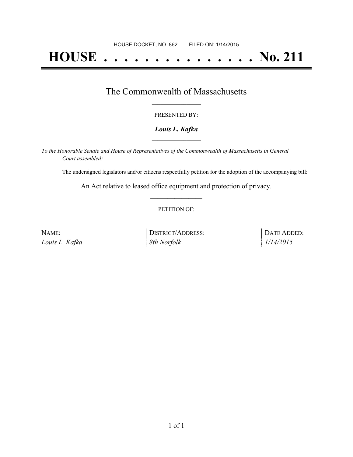# **HOUSE . . . . . . . . . . . . . . . No. 211**

### The Commonwealth of Massachusetts **\_\_\_\_\_\_\_\_\_\_\_\_\_\_\_\_\_**

#### PRESENTED BY:

#### *Louis L. Kafka* **\_\_\_\_\_\_\_\_\_\_\_\_\_\_\_\_\_**

*To the Honorable Senate and House of Representatives of the Commonwealth of Massachusetts in General Court assembled:*

The undersigned legislators and/or citizens respectfully petition for the adoption of the accompanying bill:

An Act relative to leased office equipment and protection of privacy. **\_\_\_\_\_\_\_\_\_\_\_\_\_\_\_**

#### PETITION OF:

| NAME:          | <b>DISTRICT/ADDRESS:</b> | DATE ADDED: |
|----------------|--------------------------|-------------|
| Louis L. Kafka | 8th Norfolk              | 1/14/2015   |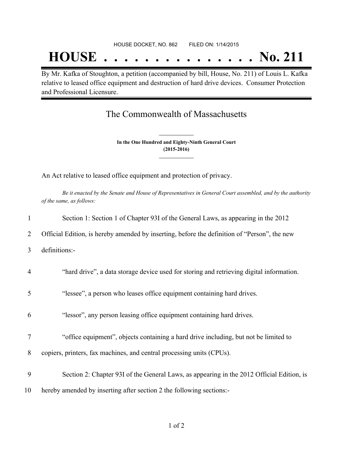## **HOUSE . . . . . . . . . . . . . . . No. 211**

By Mr. Kafka of Stoughton, a petition (accompanied by bill, House, No. 211) of Louis L. Kafka relative to leased office equipment and destruction of hard drive devices. Consumer Protection and Professional Licensure.

## The Commonwealth of Massachusetts

**In the One Hundred and Eighty-Ninth General Court (2015-2016) \_\_\_\_\_\_\_\_\_\_\_\_\_\_\_**

**\_\_\_\_\_\_\_\_\_\_\_\_\_\_\_**

An Act relative to leased office equipment and protection of privacy.

Be it enacted by the Senate and House of Representatives in General Court assembled, and by the authority *of the same, as follows:*

| 1              | Section 1: Section 1 of Chapter 93I of the General Laws, as appearing in the 2012            |
|----------------|----------------------------------------------------------------------------------------------|
| 2              | Official Edition, is hereby amended by inserting, before the definition of "Person", the new |
| 3              | definitions:-                                                                                |
| $\overline{4}$ | "hard drive", a data storage device used for storing and retrieving digital information.     |
| 5              | "lessee", a person who leases office equipment containing hard drives.                       |
| 6              | "lessor", any person leasing office equipment containing hard drives.                        |
| 7              | "office equipment", objects containing a hard drive including, but not be limited to         |
| 8              | copiers, printers, fax machines, and central processing units (CPUs).                        |
| 9              | Section 2: Chapter 93I of the General Laws, as appearing in the 2012 Official Edition, is    |
| 10             | hereby amended by inserting after section 2 the following sections:-                         |